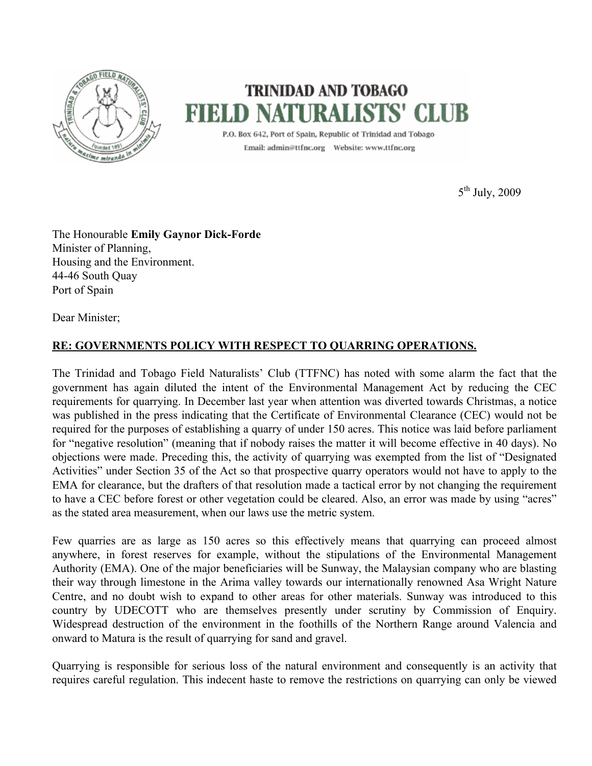

## **TRINIDAD AND TOBAGO FIELD NATURALISTS' (**

P.O. Box 642, Port of Spain, Republic of Trinidad and Tobago 

5<sup>th</sup> July, 2009

The Honourable **Emily Gaynor Dick-Forde** Minister of Planning, Housing and the Environment. 44-46 South Quay Port of Spain

Dear Minister;

## **RE: GOVERNMENTS POLICY WITH RESPECT TO QUARRING OPERATIONS.**

The Trinidad and Tobago Field Naturalists' Club (TTFNC) has noted with some alarm the fact that the government has again diluted the intent of the Environmental Management Act by reducing the CEC requirements for quarrying. In December last year when attention was diverted towards Christmas, a notice was published in the press indicating that the Certificate of Environmental Clearance (CEC) would not be required for the purposes of establishing a quarry of under 150 acres. This notice was laid before parliament for "negative resolution" (meaning that if nobody raises the matter it will become effective in 40 days). No objections were made. Preceding this, the activity of quarrying was exempted from the list of "Designated Activities" under Section 35 of the Act so that prospective quarry operators would not have to apply to the EMA for clearance, but the drafters of that resolution made a tactical error by not changing the requirement to have a CEC before forest or other vegetation could be cleared. Also, an error was made by using "acres" as the stated area measurement, when our laws use the metric system.

Few quarries are as large as 150 acres so this effectively means that quarrying can proceed almost anywhere, in forest reserves for example, without the stipulations of the Environmental Management Authority (EMA). One of the major beneficiaries will be Sunway, the Malaysian company who are blasting their way through limestone in the Arima valley towards our internationally renowned Asa Wright Nature Centre, and no doubt wish to expand to other areas for other materials. Sunway was introduced to this country by UDECOTT who are themselves presently under scrutiny by Commission of Enquiry. Widespread destruction of the environment in the foothills of the Northern Range around Valencia and onward to Matura is the result of quarrying for sand and gravel.

Quarrying is responsible for serious loss of the natural environment and consequently is an activity that requires careful regulation. This indecent haste to remove the restrictions on quarrying can only be viewed